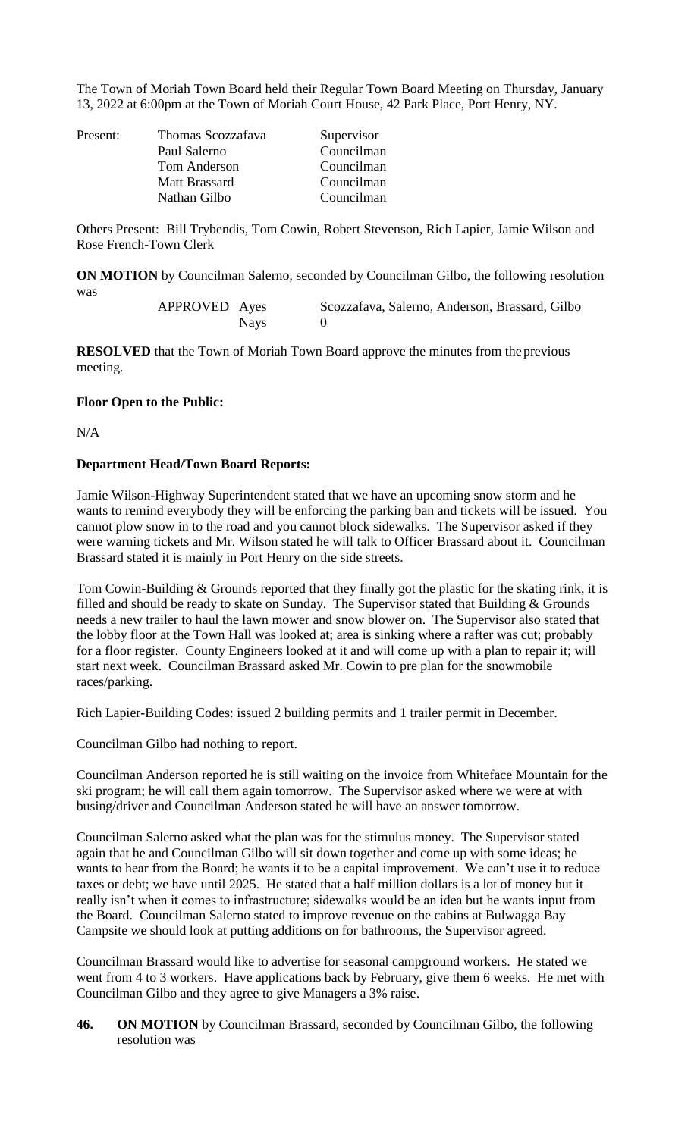The Town of Moriah Town Board held their Regular Town Board Meeting on Thursday, January 13, 2022 at 6:00pm at the Town of Moriah Court House, 42 Park Place, Port Henry, NY.

| Present: | Thomas Scozzafava<br>Paul Salerno<br>Tom Anderson | Supervisor<br>Councilman<br>Councilman |
|----------|---------------------------------------------------|----------------------------------------|
|          | <b>Matt Brassard</b><br>Nathan Gilbo              | Councilman<br>Councilman               |

Others Present: Bill Trybendis, Tom Cowin, Robert Stevenson, Rich Lapier, Jamie Wilson and Rose French-Town Clerk

**ON MOTION** by Councilman Salerno, seconded by Councilman Gilbo, the following resolution was

> APPROVED Ayes Scozzafava, Salerno, Anderson, Brassard, Gilbo Nays 0

**RESOLVED** that the Town of Moriah Town Board approve the minutes from the previous meeting.

## **Floor Open to the Public:**

N/A

## **Department Head/Town Board Reports:**

Jamie Wilson-Highway Superintendent stated that we have an upcoming snow storm and he wants to remind everybody they will be enforcing the parking ban and tickets will be issued. You cannot plow snow in to the road and you cannot block sidewalks. The Supervisor asked if they were warning tickets and Mr. Wilson stated he will talk to Officer Brassard about it. Councilman Brassard stated it is mainly in Port Henry on the side streets.

Tom Cowin-Building & Grounds reported that they finally got the plastic for the skating rink, it is filled and should be ready to skate on Sunday. The Supervisor stated that Building & Grounds needs a new trailer to haul the lawn mower and snow blower on. The Supervisor also stated that the lobby floor at the Town Hall was looked at; area is sinking where a rafter was cut; probably for a floor register. County Engineers looked at it and will come up with a plan to repair it; will start next week. Councilman Brassard asked Mr. Cowin to pre plan for the snowmobile races/parking.

Rich Lapier-Building Codes: issued 2 building permits and 1 trailer permit in December.

Councilman Gilbo had nothing to report.

Councilman Anderson reported he is still waiting on the invoice from Whiteface Mountain for the ski program; he will call them again tomorrow. The Supervisor asked where we were at with busing/driver and Councilman Anderson stated he will have an answer tomorrow.

Councilman Salerno asked what the plan was for the stimulus money. The Supervisor stated again that he and Councilman Gilbo will sit down together and come up with some ideas; he wants to hear from the Board; he wants it to be a capital improvement. We can't use it to reduce taxes or debt; we have until 2025. He stated that a half million dollars is a lot of money but it really isn't when it comes to infrastructure; sidewalks would be an idea but he wants input from the Board. Councilman Salerno stated to improve revenue on the cabins at Bulwagga Bay Campsite we should look at putting additions on for bathrooms, the Supervisor agreed.

Councilman Brassard would like to advertise for seasonal campground workers. He stated we went from 4 to 3 workers. Have applications back by February, give them 6 weeks. He met with Councilman Gilbo and they agree to give Managers a 3% raise.

**46. ON MOTION** by Councilman Brassard, seconded by Councilman Gilbo, the following resolution was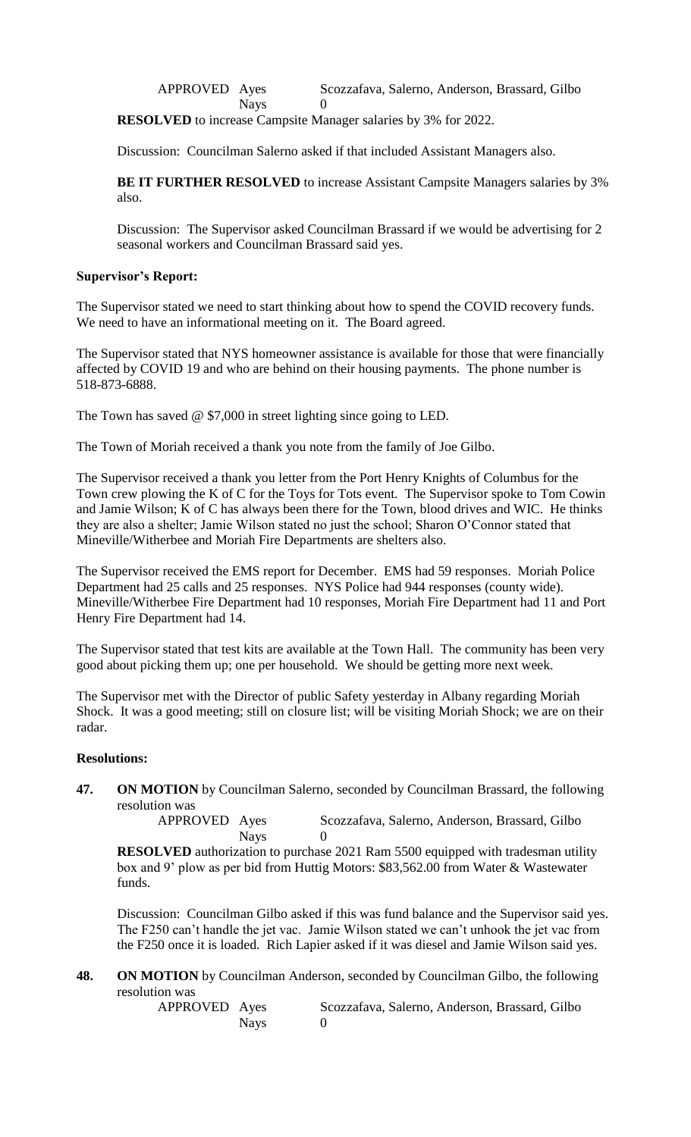APPROVED Ayes Scozzafava, Salerno, Anderson, Brassard, Gilbo Nays 0

**RESOLVED** to increase Campsite Manager salaries by 3% for 2022.

Discussion: Councilman Salerno asked if that included Assistant Managers also.

**BE IT FURTHER RESOLVED** to increase Assistant Campsite Managers salaries by 3% also.

Discussion: The Supervisor asked Councilman Brassard if we would be advertising for 2 seasonal workers and Councilman Brassard said yes.

### **Supervisor's Report:**

The Supervisor stated we need to start thinking about how to spend the COVID recovery funds. We need to have an informational meeting on it. The Board agreed.

The Supervisor stated that NYS homeowner assistance is available for those that were financially affected by COVID 19 and who are behind on their housing payments. The phone number is 518-873-6888.

The Town has saved @ \$7,000 in street lighting since going to LED.

The Town of Moriah received a thank you note from the family of Joe Gilbo.

The Supervisor received a thank you letter from the Port Henry Knights of Columbus for the Town crew plowing the K of C for the Toys for Tots event. The Supervisor spoke to Tom Cowin and Jamie Wilson; K of C has always been there for the Town, blood drives and WIC. He thinks they are also a shelter; Jamie Wilson stated no just the school; Sharon O'Connor stated that Mineville/Witherbee and Moriah Fire Departments are shelters also.

The Supervisor received the EMS report for December. EMS had 59 responses. Moriah Police Department had 25 calls and 25 responses. NYS Police had 944 responses (county wide). Mineville/Witherbee Fire Department had 10 responses, Moriah Fire Department had 11 and Port Henry Fire Department had 14.

The Supervisor stated that test kits are available at the Town Hall. The community has been very good about picking them up; one per household. We should be getting more next week.

The Supervisor met with the Director of public Safety yesterday in Albany regarding Moriah Shock. It was a good meeting; still on closure list; will be visiting Moriah Shock; we are on their radar.

#### **Resolutions:**

**47. ON MOTION** by Councilman Salerno, seconded by Councilman Brassard, the following resolution was<br>APPROVED Ayes

Scozzafava, Salerno, Anderson, Brassard, Gilbo Nays 0

**RESOLVED** authorization to purchase 2021 Ram 5500 equipped with tradesman utility box and 9' plow as per bid from Huttig Motors: \$83,562.00 from Water & Wastewater funds.

Discussion: Councilman Gilbo asked if this was fund balance and the Supervisor said yes. The F250 can't handle the jet vac. Jamie Wilson stated we can't unhook the jet vac from the F250 once it is loaded. Rich Lapier asked if it was diesel and Jamie Wilson said yes.

**48. ON MOTION** by Councilman Anderson, seconded by Councilman Gilbo, the following resolution was

APPROVED Ayes Scozzafava, Salerno, Anderson, Brassard, Gilbo Nays 0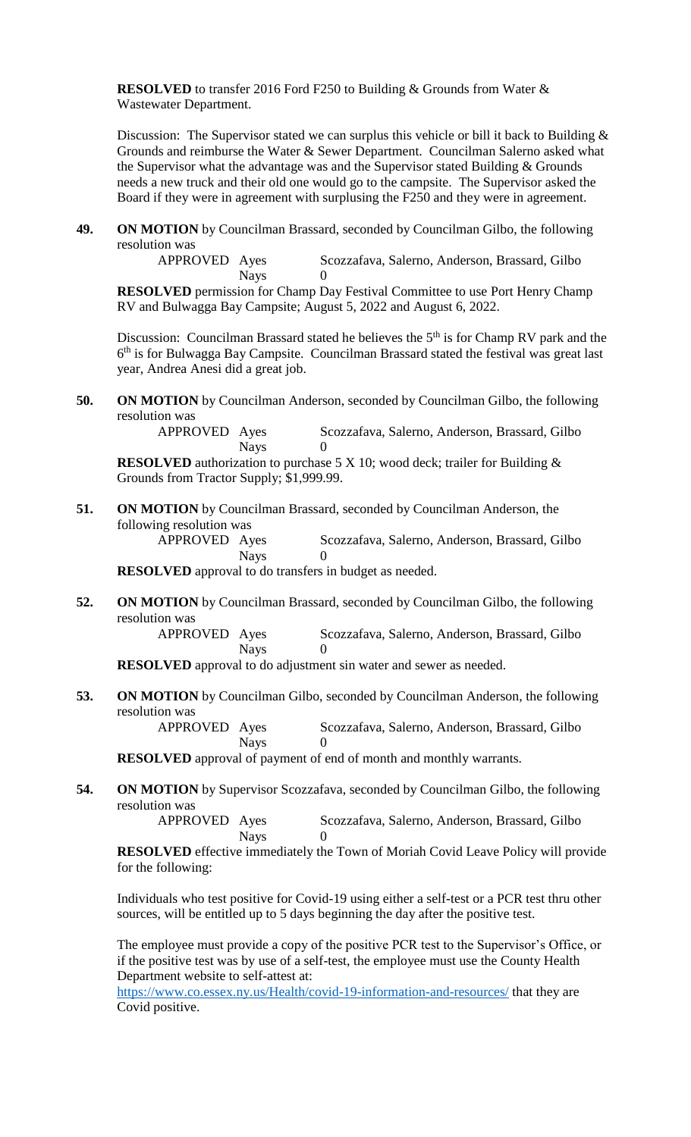**RESOLVED** to transfer 2016 Ford F250 to Building & Grounds from Water & Wastewater Department.

Discussion: The Supervisor stated we can surplus this vehicle or bill it back to Building & Grounds and reimburse the Water & Sewer Department. Councilman Salerno asked what the Supervisor what the advantage was and the Supervisor stated Building & Grounds needs a new truck and their old one would go to the campsite. The Supervisor asked the Board if they were in agreement with surplusing the F250 and they were in agreement.

**49. ON MOTION** by Councilman Brassard, seconded by Councilman Gilbo, the following resolution was

> APPROVED Ayes Scozzafava, Salerno, Anderson, Brassard, Gilbo Nays 0

**RESOLVED** permission for Champ Day Festival Committee to use Port Henry Champ RV and Bulwagga Bay Campsite; August 5, 2022 and August 6, 2022.

Discussion: Councilman Brassard stated he believes the  $5<sup>th</sup>$  is for Champ RV park and the 6<sup>th</sup> is for Bulwagga Bay Campsite. Councilman Brassard stated the festival was great last year, Andrea Anesi did a great job.

**50. ON MOTION** by Councilman Anderson, seconded by Councilman Gilbo, the following resolution was

> APPROVED Ayes Scozzafava, Salerno, Anderson, Brassard, Gilbo **Nays**

**RESOLVED** authorization to purchase 5 X 10; wood deck; trailer for Building & Grounds from Tractor Supply; \$1,999.99.

**51. ON MOTION** by Councilman Brassard, seconded by Councilman Anderson, the following resolution was

APPROVED Ayes Scozzafava, Salerno, Anderson, Brassard, Gilbo Nays 0

**RESOLVED** approval to do transfers in budget as needed.

**52. ON MOTION** by Councilman Brassard, seconded by Councilman Gilbo, the following resolution was<br>APPROVED Ayes

Scozzafava, Salerno, Anderson, Brassard, Gilbo Nays 0

**RESOLVED** approval to do adjustment sin water and sewer as needed.

**53. ON MOTION** by Councilman Gilbo, seconded by Councilman Anderson, the following resolution was

> APPROVED Ayes Scozzafava, Salerno, Anderson, Brassard, Gilbo Nays 0

**RESOLVED** approval of payment of end of month and monthly warrants.

**54. ON MOTION** by Supervisor Scozzafava, seconded by Councilman Gilbo, the following resolution was<br>APPROVED Ayes

```
Scozzafava, Salerno, Anderson, Brassard, Gilbo
Nays 0
```
**RESOLVED** effective immediately the Town of Moriah Covid Leave Policy will provide for the following:

Individuals who test positive for Covid-19 using either a self-test or a PCR test thru other sources, will be entitled up to 5 days beginning the day after the positive test.

The employee must provide a copy of the positive PCR test to the Supervisor's Office, or if the positive test was by use of a self-test, the employee must use the County Health Department website to self-attest at:

<https://www.co.essex.ny.us/Health/covid-19-information-and-resources/> that they are Covid positive.